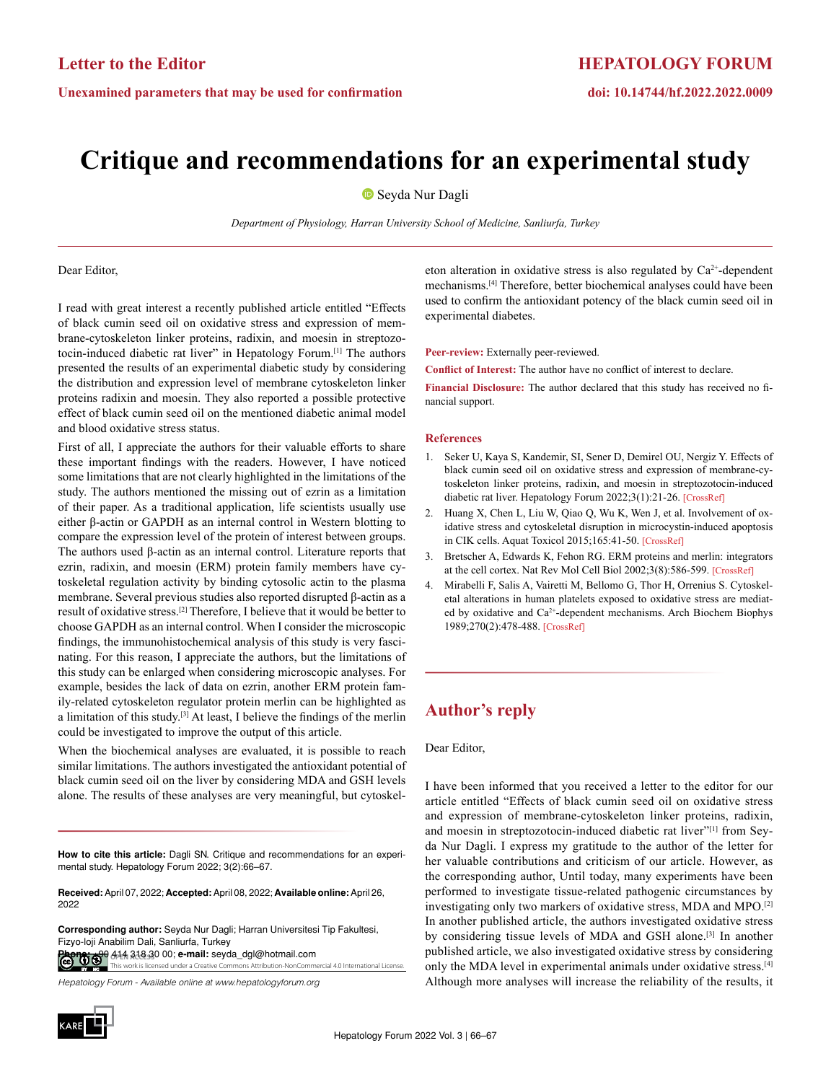# **Critique and recommendations for an experimental study**

Seyda Nur Dagli

*Department of Physiology, Harran University School of Medicine, Sanliurfa, Turkey*

Dear Editor,

I read with great interest a recently published article entitled "Effects of black cumin seed oil on oxidative stress and expression of membrane-cytoskeleton linker proteins, radixin, and moesin in streptozotocin-induced diabetic rat liver" in Hepatology Forum.<sup>[1]</sup> The authors presented the results of an experimental diabetic study by considering the distribution and expression level of membrane cytoskeleton linker proteins radixin and moesin. They also reported a possible protective effect of black cumin seed oil on the mentioned diabetic animal model and blood oxidative stress status.

First of all, I appreciate the authors for their valuable efforts to share these important findings with the readers. However, I have noticed some limitations that are not clearly highlighted in the limitations of the study. The authors mentioned the missing out of ezrin as a limitation of their paper. As a traditional application, life scientists usually use either β-actin or GAPDH as an internal control in Western blotting to compare the expression level of the protein of interest between groups. The authors used β-actin as an internal control. Literature reports that ezrin, radixin, and moesin (ERM) protein family members have cytoskeletal regulation activity by binding cytosolic actin to the plasma membrane. Several previous studies also reported disrupted β-actin as a result of oxidative stress.[2] Therefore, I believe that it would be better to choose GAPDH as an internal control. When I consider the microscopic findings, the immunohistochemical analysis of this study is very fascinating. For this reason, I appreciate the authors, but the limitations of this study can be enlarged when considering microscopic analyses. For example, besides the lack of data on ezrin, another ERM protein family-related cytoskeleton regulator protein merlin can be highlighted as a limitation of this study.<sup>[3]</sup> At least, I believe the findings of the merlin could be investigated to improve the output of this article.

When the biochemical analyses are evaluated, it is possible to reach similar limitations. The authors investigated the antioxidant potential of black cumin seed oil on the liver by considering MDA and GSH levels alone. The results of these analyses are very meaningful, but cytoskel-

**How to cite this article:** Dagli SN. Critique and recommendations for an experimental study. Hepatology Forum 2022; 3(2):66–67.

**Received:** April 07, 2022; **Accepted:** April 08, 2022; **Available online:** April 26, 2022

**OPEN ACCESS Phone:** +90 414 318 30 00; **e-mail:** seyda\_dgl@hotmail.comvork is licensed under a Creative Commons Attribution-NonC **Corresponding author:** Seyda Nur Dagli; Harran Universitesi Tip Fakultesi, Fizyo-loji Anabilim Dali, Sanliurfa, Turkey

*Hepatology Forum - Available online at www.hepatologyforum.org*



eton alteration in oxidative stress is also regulated by  $Ca<sup>2+</sup>$ -dependent mechanisms.[4] Therefore, better biochemical analyses could have been used to confirm the antioxidant potency of the black cumin seed oil in experimental diabetes.

**HEPATOLOGY FORUM**

**doi: 10.14744/hf.2022.2022.0009**

**Peer-review:** Externally peer-reviewed.

**Conflict of Interest:** The author have no conflict of interest to declare.

**Financial Disclosure:** The author declared that this study has received no financial support.

#### **References**

- 1. Seker U, Kaya S, Kandemir, SI, Sener D, Demirel OU, Nergiz Y. Effects of black cumin seed oil on oxidative stress and expression of membrane-cytoskeleton linker proteins, radixin, and moesin in streptozotocin-induced diabetic rat liver. Hepatology Forum 2022;3(1):21-26. [\[CrossRef\]](https://doi.org/10.14744/hf.2021.2021.0035)
- 2. Huang X, Chen L, Liu W, Qiao Q, Wu K, Wen J, et al. Involvement of oxidative stress and cytoskeletal disruption in microcystin-induced apoptosis in CIK cells. Aquat Toxicol 2015;165:41-50. [\[CrossRef\]](https://doi.org/10.1016/j.aquatox.2015.05.009)
- 3. Bretscher A, Edwards K, Fehon RG. ERM proteins and merlin: integrators at the cell cortex. Nat Rev Mol Cell Biol 2002;3(8):586-599. [\[CrossRef\]](https://doi.org/10.1038/nrm882)
- 4. Mirabelli F, Salis A, Vairetti M, Bellomo G, Thor H, Orrenius S. Cytoskeletal alterations in human platelets exposed to oxidative stress are mediated by oxidative and Ca2+-dependent mechanisms. Arch Biochem Biophys 1989;270(2):478-488. [\[CrossRef\]](https://doi.org/10.1016/0003-9861(89)90529-8)

## **Author's reply**

Dear Editor,

I have been informed that you received a letter to the editor for our article entitled "Effects of black cumin seed oil on oxidative stress and expression of membrane-cytoskeleton linker proteins, radixin, and moesin in streptozotocin-induced diabetic rat liver"[1] from Seyda Nur Dagli. I express my gratitude to the author of the letter for her valuable contributions and criticism of our article. However, as the corresponding author, Until today, many experiments have been performed to investigate tissue-related pathogenic circumstances by investigating only two markers of oxidative stress, MDA and MPO.[2] In another published article, the authors investigated oxidative stress by considering tissue levels of MDA and GSH alone.[3] In another published article, we also investigated oxidative stress by considering only the MDA level in experimental animals under oxidative stress.[4] Although more analyses will increase the reliability of the results, it